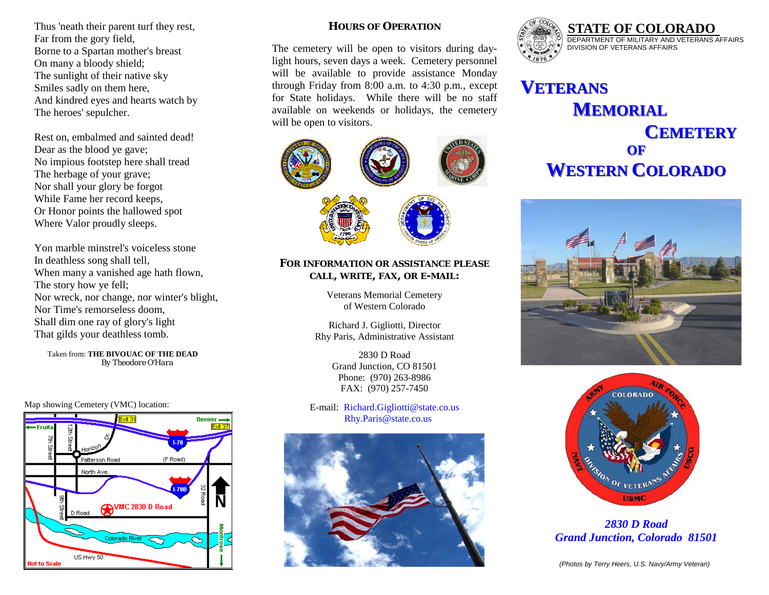Thus 'neath their parent turf they rest, Far from the gory field, Borne to a Spartan mother's breast On many a bloody shield; The sunlight of their native sky Smiles sadly on them here, And kindred eyes and hearts watch by The heroes' sepulcher.

Rest on, embalmed and sainted dead! Dear as the blood ye gave; No impious footstep here shall tread The herbage of your grave; Nor shall your glory be forgot While Fame her record keeps, Or Honor points the hallowed spot Where Valor proudly sleeps.

Yon marble minstrel's voiceless stone In deathless song shall tell, When many a vanished age hath flown, The story how ye fell; Nor wreck, nor change, nor winter's blight, Nor Time's remorseless doom, Shall dim one ray of glory's light That gilds your deathless tomb.

 Taken from: **THE BIVOUAC OF THE DEAD**   *By Theodore O'Hara* 

Map showing Cemetery (VMC) location:



## **HOURS OF OPERATION**

The cemetery will be open to visitors during daylight hours, seven days a week. Cemetery personnel will be available to provide assistance Monday through Friday from 8:00 a.m. to 4:30 p.m., except for State holidays. While there will be no staff available on weekends or holidays, the cemetery will be open to visitors.



### **FOR INFORMATION OR ASSISTANCE PLEASE CALL, WRITE, FAX, OR E-MAIL:**

Veterans Memorial Cemetery of Western Colorado

Richard J. Gigliotti, Director Rhy Paris, Administrative Assistant

> 2830 D Road Grand Junction, CO 81501 Phone: (970) 263-8986 FAX: (970) 257-7450

E-mail: Richard.Gigliotti@state.co.us Rhy.Paris@state.co.us





# **VETERANS ETERANS** $M$ **EMORIAL CEMETERY EMETERYOFWESTERN COLORADO**





*2830 D Road Grand Junction, Colorado 81501*